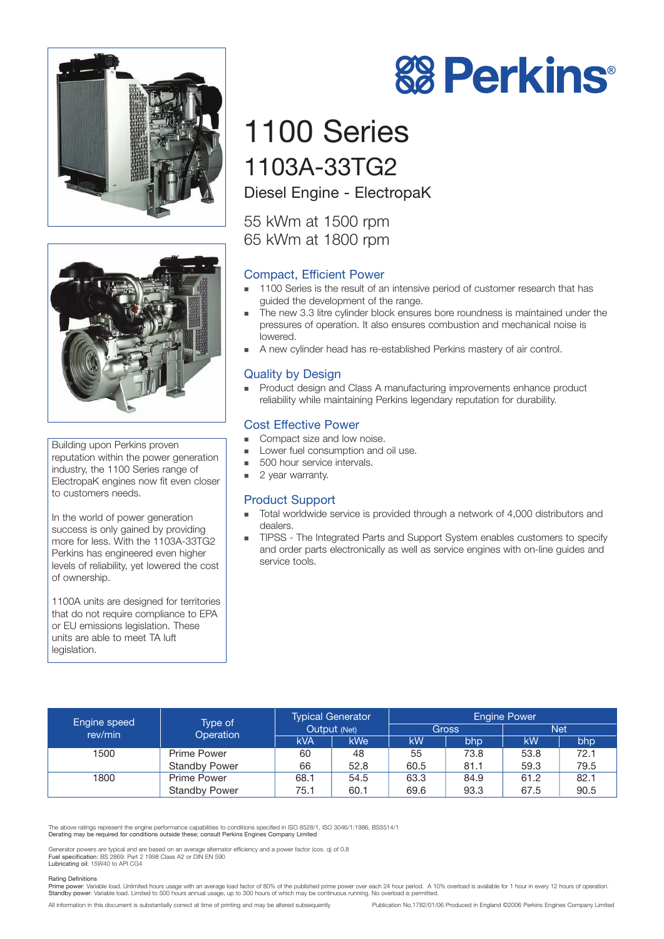



Building upon Perkins proven reputation within the power generation industry, the 1100 Series range of ElectropaK engines now fit even closer to customers needs.

In the world of power generation success is only gained by providing more for less. With the 1103A-33TG2 Perkins has engineered even higher levels of reliability, yet lowered the cost of ownership.

1100A units are designed for territories that do not require compliance to EPA or EU emissions legislation. These units are able to meet TA luft legislation.

# 1100 Series 1103A-33TG2

Diesel Engine - ElectropaK

55 kWm at 1500 rpm 65 kWm at 1800 rpm

#### Compact, Efficient Power

**1100 Series is the result of an intensive period of customer research that has** guided the development of the range.

**88 Perkins®** 

- ! The new 3.3 litre cylinder block ensures bore roundness is maintained under the pressures of operation. It also ensures combustion and mechanical noise is lowered.
- ! A new cylinder head has re-established Perkins mastery of air control.

#### Quality by Design

! Product design and Class A manufacturing improvements enhance product reliability while maintaining Perkins legendary reputation for durability.

#### Cost Effective Power

- Compact size and low noise.
- Lower fuel consumption and oil use.
- 500 hour service intervals.
- 2 year warranty.

#### Product Support

- ! Total worldwide service is provided through a network of 4,000 distributors and dealers.
- ! TIPSS The Integrated Parts and Support System enables customers to specify and order parts electronically as well as service engines with on-line guides and service tools.

| <b>Engine speed</b> | Type of<br>Operation | <b>Typical Generator</b><br>Output (Net) |            | <b>Engine Power</b> |      |      |      |
|---------------------|----------------------|------------------------------------------|------------|---------------------|------|------|------|
| rev/min             |                      |                                          |            | Gross               |      | Net  |      |
|                     |                      | <b>kVA</b>                               | <b>kWe</b> | kW                  | bhp  | kW   | bhp  |
| 1500                | Prime Power          | 60                                       | 48         | 55                  | 73.8 | 53.8 | 72.1 |
|                     | <b>Standby Power</b> | 66                                       | 52.8       | 60.5                | 81.1 | 59.3 | 79.5 |
| 1800                | Prime Power          | 68.1                                     | 54.5       | 63.3                | 84.9 | 61.2 | 82.1 |
|                     | <b>Standby Power</b> | 75.1                                     | 60.1       | 69.6                | 93.3 | 67.5 | 90.5 |

The above ratings represent the engine performance capabilities to conditions specified in ISO 8528/1, ISO 3046/1:1986, BS5514/1 Derating may be required for conditions outside these; consult Perkins Engines Company Limited

Generator powers are typical and are based on an average alternator efficiency and a power factor (cos. q) of 0.8<br>Fuel specification: BS 2869: Part 2 1998 Class A2 or DIN EN 590<br>Lubricating oil: 15W40 to API CG4

#### Rating Definitions

Prime power: Variable load. Unlimited hours usage with an average load factor of 80% of the published prime power over each 24 hour period. A 10% overload is available for 1 hour in every 12 hours of operation<br>Standby powe

All information in this document is substantially correct at time of printing and may be altered subsequently Publication No.1782/01/06 Produced in England ©2006 Perkins Engines Company Limited